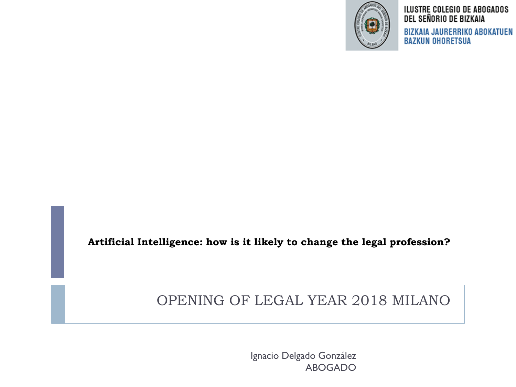

#### ILUSTRE COLEGIO DE ABOGADOS DEL SEÑORIO DE BIZKAIA

BIZKAIA JAURERRIKO ABOKATUEN **BAZKUN OHORETSUA** 

**Artificial Intelligence: how is it likely to change the legal profession?** 

#### OPENING OF LEGAL YEAR 2018 MILANO

Ignacio Delgado González ABOGADO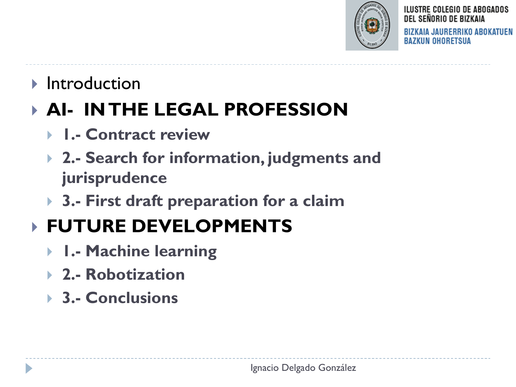

ILUSTRE COLEGIO DE ABOGADOS DEL SEÑORIO DE BIZKAIA **BIZKAIA JAURERRIKO ABOKATUEN** BAZKUN OHORETSUA

#### $\blacktriangleright$  Introduction

## **AI- IN THE LEGAL PROFESSION**

- **1.- Contract review**
- **2.- Search for information, judgments and jurisprudence**
- **3.- First draft preparation for a claim**

## **FUTURE DEVELOPMENTS**

- **1.- Machine learning**
- **2.- Robotization**
- **3.- Conclusions**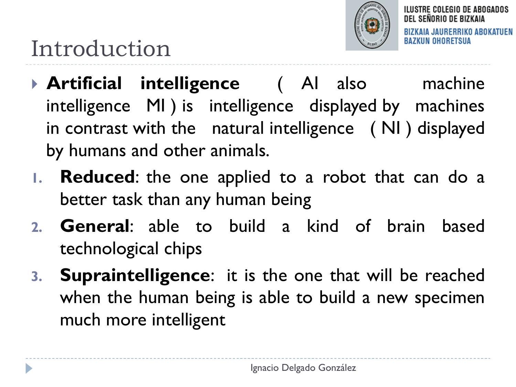

## Introduction

- **Artificial intelligence** ( AI also machine intelligence MI ) is intelligence displayed by machines in contrast with the natural intelligence ( NI ) displayed by humans and other animals.
- **1. Reduced**: the one applied to a robot that can do a better task than any human being
- **2. General**: able to build a kind of brain based technological chips
- **3. Supraintelligence**: it is the one that will be reached when the human being is able to build a new specimen much more intelligent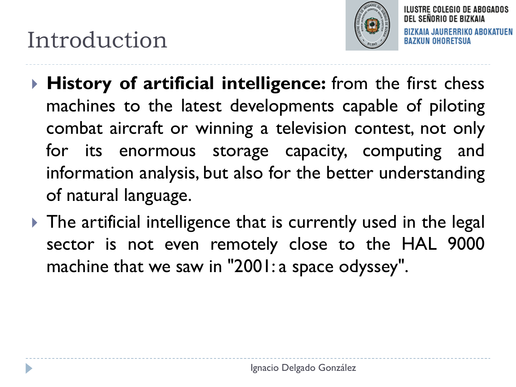## Introduction



DEL SEÑORIO DE BIZKAIA BIZKAIA JAURERRIKO ABOKATUEN KUN OHORETSUA

ILUSTRE COLEGIO DE ABOGADOS

- **History of artificial intelligence:** from the first chess machines to the latest developments capable of piloting combat aircraft or winning a television contest, not only for its enormous storage capacity, computing and information analysis, but also for the better understanding of natural language.
- ▶ The artificial intelligence that is currently used in the legal sector is not even remotely close to the HAL 9000 machine that we saw in "2001: a space odyssey".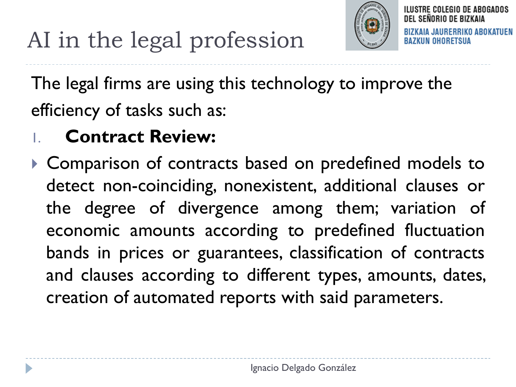

ILUSTRE COLEGIO DE ABOGADOS DEL SEÑORIO DE BIZKAIA IA JAURERRIKO ABOKATUEN IN OHORFTSUA

# AI in the legal profession

The legal firms are using this technology to improve the efficiency of tasks such as:

### 1. **Contract Review:**

 Comparison of contracts based on predefined models to detect non-coinciding, nonexistent, additional clauses or the degree of divergence among them; variation of economic amounts according to predefined fluctuation bands in prices or guarantees, classification of contracts and clauses according to different types, amounts, dates, creation of automated reports with said parameters.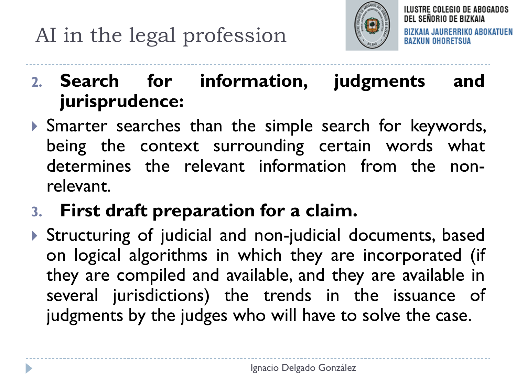

ILUSTRE COLEGIO DE ABOGADOS DEL SEÑORIO DE BIZKAIA **BIZKAIA JAURERRIKO ABOKATUEN** (UN OHORETSUA

#### **2. Search for information, judgments and jurisprudence:**

 Smarter searches than the simple search for keywords, being the context surrounding certain words what determines the relevant information from the nonrelevant.

#### **3. First draft preparation for a claim.**

 Structuring of judicial and non-judicial documents, based on logical algorithms in which they are incorporated (if they are compiled and available, and they are available in several jurisdictions) the trends in the issuance of judgments by the judges who will have to solve the case.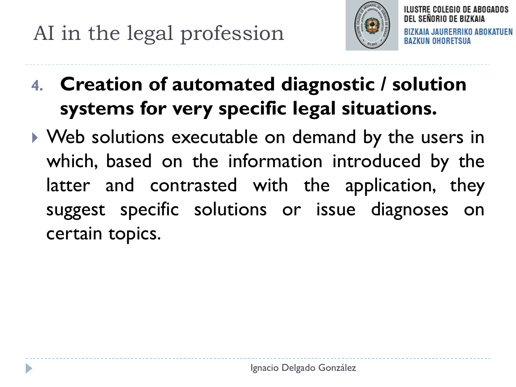

ILUSTRE COLEGIO DE ABOGADOS DEL SEÑORIO DE BIZKAIA **BIZKAIA JAURERRIKO ABOKATUEN** BAZKUN OHORETSUA

- **4. Creation of automated diagnostic / solution systems for very specific legal situations.**
- ▶ Web solutions executable on demand by the users in which, based on the information introduced by the latter and contrasted with the application, they suggest specific solutions or issue diagnoses on certain topics.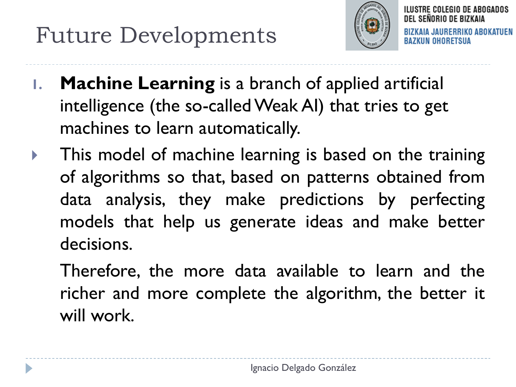## Future Developments



DEL SEÑORIO DE BIZKAIA **BIZKAIA JAURERRIKO ABOKATUEN** BAZKUN OHORETSUA

ILUSTRE COLEGIO DE ABOGADOS

- **1. Machine Learning** is a branch of applied artificial intelligence (the so-called Weak AI) that tries to get machines to learn automatically.
- This model of machine learning is based on the training of algorithms so that, based on patterns obtained from data analysis, they make predictions by perfecting models that help us generate ideas and make better decisions.
	- Therefore, the more data available to learn and the richer and more complete the algorithm, the better it will work.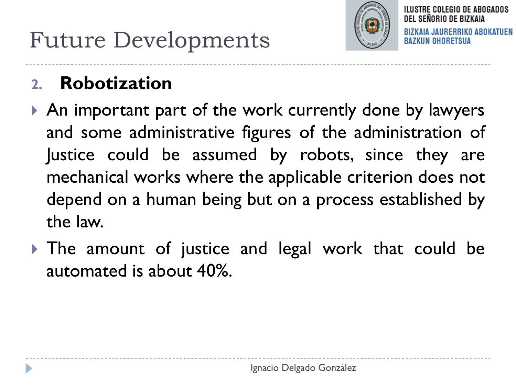

DEL SEÑORIO DE BIZKAIA **BIZKAIA JAURERRIKO ABOKATUEN** BAZKUN OHORETSUA

ILUSTRE COLEGIO DE ABOGADOS

#### **2. Robotization**

- An important part of the work currently done by lawyers and some administrative figures of the administration of Justice could be assumed by robots, since they are mechanical works where the applicable criterion does not depend on a human being but on a process established by the law.
- If The amount of justice and legal work that could be automated is about 40%.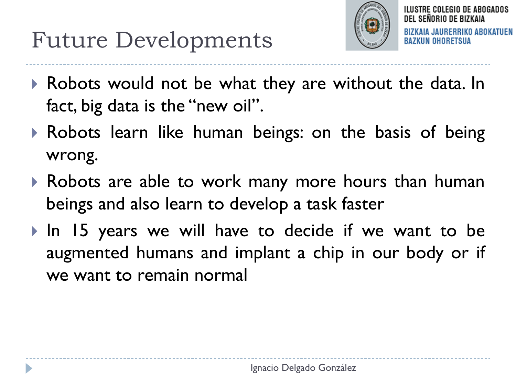

ILUSTRE COLEGIO DE ABOGADOS DEL SENORIO DE BIZKAIA **BIZKAIA JAURERRIKO ABOKATUEN** BAZKUN OHORETSUA

- Robots would not be what they are without the data. In fact, big data is the "new oil".
- Robots learn like human beings: on the basis of being wrong.
- Robots are able to work many more hours than human beings and also learn to develop a task faster
- In 15 years we will have to decide if we want to be augmented humans and implant a chip in our body or if we want to remain normal